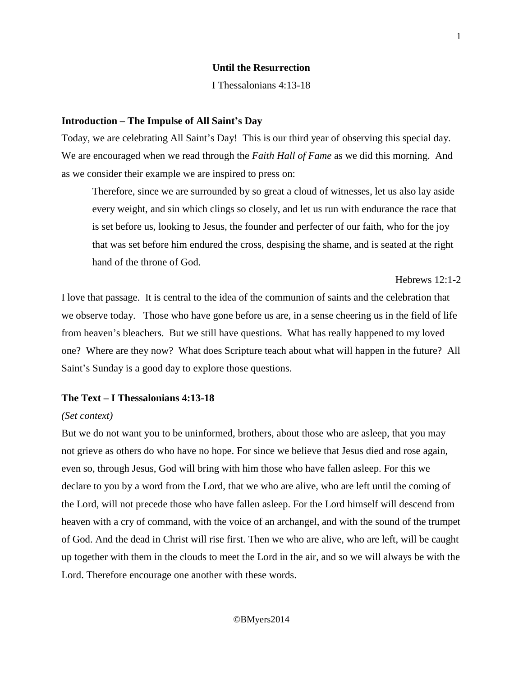## **Until the Resurrection**

I Thessalonians 4:13-18

#### **Introduction – The Impulse of All Saint's Day**

Today, we are celebrating All Saint's Day! This is our third year of observing this special day. We are encouraged when we read through the *Faith Hall of Fame* as we did this morning. And as we consider their example we are inspired to press on:

Therefore, since we are surrounded by so great a cloud of witnesses, let us also lay aside every weight, and sin which clings so closely, and let us run with endurance the race that is set before us, looking to Jesus, the founder and perfecter of our faith, who for the joy that was set before him endured the cross, despising the shame, and is seated at the right hand of the throne of God.

Hebrews 12:1-2

I love that passage. It is central to the idea of the communion of saints and the celebration that we observe today. Those who have gone before us are, in a sense cheering us in the field of life from heaven's bleachers. But we still have questions. What has really happened to my loved one? Where are they now? What does Scripture teach about what will happen in the future? All Saint's Sunday is a good day to explore those questions.

### **The Text – I Thessalonians 4:13-18**

### *(Set context)*

But we do not want you to be uninformed, brothers, about those who are asleep, that you may not grieve as others do who have no hope. For since we believe that Jesus died and rose again, even so, through Jesus, God will bring with him those who have fallen asleep. For this we declare to you by a word from the Lord, that we who are alive, who are left until the coming of the Lord, will not precede those who have fallen asleep. For the Lord himself will descend from heaven with a cry of command, with the voice of an archangel, and with the sound of the trumpet of God. And the dead in Christ will rise first. Then we who are alive, who are left, will be caught up together with them in the clouds to meet the Lord in the air, and so we will always be with the Lord. Therefore encourage one another with these words.

### ©BMyers2014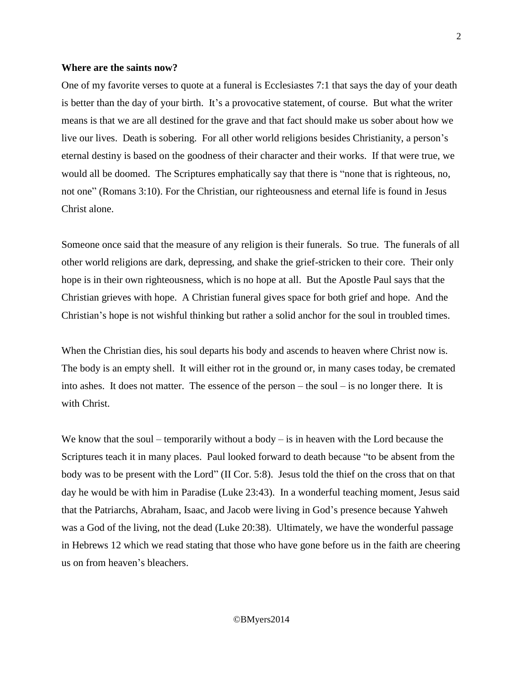### **Where are the saints now?**

One of my favorite verses to quote at a funeral is Ecclesiastes 7:1 that says the day of your death is better than the day of your birth. It's a provocative statement, of course. But what the writer means is that we are all destined for the grave and that fact should make us sober about how we live our lives. Death is sobering. For all other world religions besides Christianity, a person's eternal destiny is based on the goodness of their character and their works. If that were true, we would all be doomed. The Scriptures emphatically say that there is "none that is righteous, no, not one" (Romans 3:10). For the Christian, our righteousness and eternal life is found in Jesus Christ alone.

Someone once said that the measure of any religion is their funerals. So true. The funerals of all other world religions are dark, depressing, and shake the grief-stricken to their core. Their only hope is in their own righteousness, which is no hope at all. But the Apostle Paul says that the Christian grieves with hope. A Christian funeral gives space for both grief and hope. And the Christian's hope is not wishful thinking but rather a solid anchor for the soul in troubled times.

When the Christian dies, his soul departs his body and ascends to heaven where Christ now is. The body is an empty shell. It will either rot in the ground or, in many cases today, be cremated into ashes. It does not matter. The essence of the person – the soul – is no longer there. It is with Christ.

We know that the soul – temporarily without a body – is in heaven with the Lord because the Scriptures teach it in many places. Paul looked forward to death because "to be absent from the body was to be present with the Lord" (II Cor. 5:8). Jesus told the thief on the cross that on that day he would be with him in Paradise (Luke 23:43). In a wonderful teaching moment, Jesus said that the Patriarchs, Abraham, Isaac, and Jacob were living in God's presence because Yahweh was a God of the living, not the dead (Luke 20:38). Ultimately, we have the wonderful passage in Hebrews 12 which we read stating that those who have gone before us in the faith are cheering us on from heaven's bleachers.

### ©BMyers2014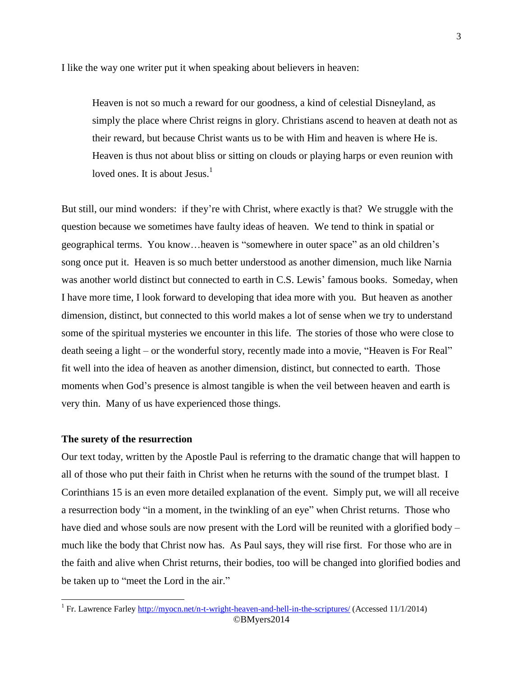I like the way one writer put it when speaking about believers in heaven:

Heaven is not so much a reward for our goodness, a kind of celestial Disneyland, as simply the place where Christ reigns in glory. Christians ascend to heaven at death not as their reward, but because Christ wants us to be with Him and heaven is where He is. Heaven is thus not about bliss or sitting on clouds or playing harps or even reunion with loved ones. It is about Jesus. $<sup>1</sup>$ </sup>

But still, our mind wonders: if they're with Christ, where exactly is that? We struggle with the question because we sometimes have faulty ideas of heaven. We tend to think in spatial or geographical terms. You know…heaven is "somewhere in outer space" as an old children's song once put it. Heaven is so much better understood as another dimension, much like Narnia was another world distinct but connected to earth in C.S. Lewis' famous books. Someday, when I have more time, I look forward to developing that idea more with you. But heaven as another dimension, distinct, but connected to this world makes a lot of sense when we try to understand some of the spiritual mysteries we encounter in this life. The stories of those who were close to death seeing a light – or the wonderful story, recently made into a movie, "Heaven is For Real" fit well into the idea of heaven as another dimension, distinct, but connected to earth. Those moments when God's presence is almost tangible is when the veil between heaven and earth is very thin. Many of us have experienced those things.

## **The surety of the resurrection**

Our text today, written by the Apostle Paul is referring to the dramatic change that will happen to all of those who put their faith in Christ when he returns with the sound of the trumpet blast. I Corinthians 15 is an even more detailed explanation of the event. Simply put, we will all receive a resurrection body "in a moment, in the twinkling of an eye" when Christ returns. Those who have died and whose souls are now present with the Lord will be reunited with a glorified body – much like the body that Christ now has. As Paul says, they will rise first. For those who are in the faith and alive when Christ returns, their bodies, too will be changed into glorified bodies and be taken up to "meet the Lord in the air."

<sup>©</sup>BMyers2014 <sup>1</sup> Fr. Lawrence Farley<http://myocn.net/n-t-wright-heaven-and-hell-in-the-scriptures/> (Accessed 11/1/2014)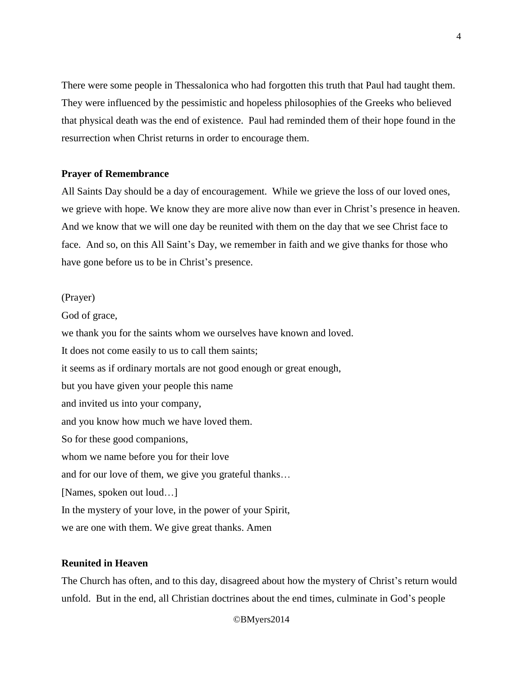There were some people in Thessalonica who had forgotten this truth that Paul had taught them. They were influenced by the pessimistic and hopeless philosophies of the Greeks who believed that physical death was the end of existence. Paul had reminded them of their hope found in the resurrection when Christ returns in order to encourage them.

## **Prayer of Remembrance**

All Saints Day should be a day of encouragement. While we grieve the loss of our loved ones, we grieve with hope. We know they are more alive now than ever in Christ's presence in heaven. And we know that we will one day be reunited with them on the day that we see Christ face to face. And so, on this All Saint's Day, we remember in faith and we give thanks for those who have gone before us to be in Christ's presence.

## (Prayer)

God of grace, we thank you for the saints whom we ourselves have known and loved. It does not come easily to us to call them saints; it seems as if ordinary mortals are not good enough or great enough, but you have given your people this name and invited us into your company, and you know how much we have loved them. So for these good companions, whom we name before you for their love and for our love of them, we give you grateful thanks… [Names, spoken out loud…] In the mystery of your love, in the power of your Spirit, we are one with them. We give great thanks. Amen

# **Reunited in Heaven**

The Church has often, and to this day, disagreed about how the mystery of Christ's return would unfold. But in the end, all Christian doctrines about the end times, culminate in God's people

©BMyers2014